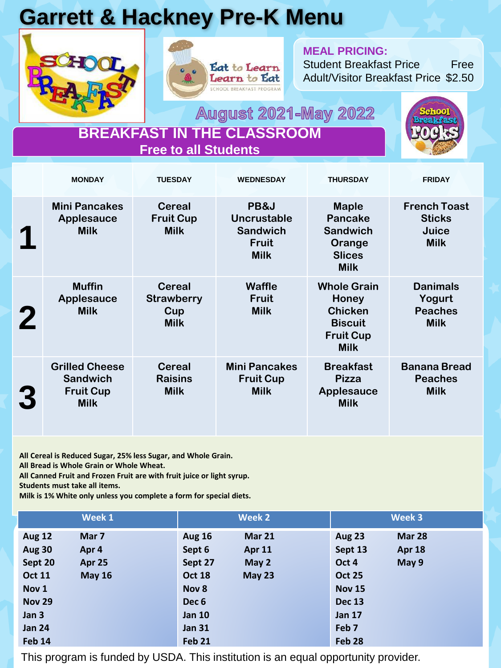## **Garrett & Hackney Pre-K Menu**





#### **MEAL PRICING:**

Student Breakfast Price Free Adult/Visitor Breakfast Price \$2.50

**August 2021-May 2022** 



#### **BREAKFAST IN THE CLASSROOM Free to all Students**

|             | <b>MONDAY</b>                                                               | <b>TUESDAY</b>                                           | <b>WEDNESDAY</b>                                                             | <b>THURSDAY</b>                                                                                    | <b>FRIDAY</b>                                                |
|-------------|-----------------------------------------------------------------------------|----------------------------------------------------------|------------------------------------------------------------------------------|----------------------------------------------------------------------------------------------------|--------------------------------------------------------------|
|             | <b>Mini Pancakes</b><br><b>Applesauce</b><br><b>Milk</b>                    | <b>Cereal</b><br><b>Fruit Cup</b><br><b>Milk</b>         | PB&J<br><b>Uncrustable</b><br><b>Sandwich</b><br><b>Fruit</b><br><b>Milk</b> | <b>Maple</b><br><b>Pancake</b><br><b>Sandwich</b><br>Orange<br><b>Slices</b><br><b>Milk</b>        | <b>French Toast</b><br><b>Sticks</b><br>Juice<br><b>Milk</b> |
| $\mathbf 2$ | <b>Muffin</b><br><b>Applesauce</b><br><b>Milk</b>                           | <b>Cereal</b><br><b>Strawberry</b><br>Cup<br><b>Milk</b> | <b>Waffle</b><br><b>Fruit</b><br><b>Milk</b>                                 | <b>Whole Grain</b><br>Honey<br><b>Chicken</b><br><b>Biscuit</b><br><b>Fruit Cup</b><br><b>Milk</b> | <b>Danimals</b><br>Yogurt<br><b>Peaches</b><br><b>Milk</b>   |
| 3           | <b>Grilled Cheese</b><br><b>Sandwich</b><br><b>Fruit Cup</b><br><b>Milk</b> | <b>Cereal</b><br><b>Raisins</b><br><b>Milk</b>           | <b>Mini Pancakes</b><br><b>Fruit Cup</b><br><b>Milk</b>                      | <b>Breakfast</b><br><b>Pizza</b><br><b>Applesauce</b><br><b>Milk</b>                               | <b>Banana Bread</b><br><b>Peaches</b><br><b>Milk</b>         |

**All Cereal is Reduced Sugar, 25% less Sugar, and Whole Grain. All Bread is Whole Grain or Whole Wheat.**

**All Canned Fruit and Frozen Fruit are with fruit juice or light syrup.**

**Students must take all items.** 

**Milk is 1% White only unless you complete a form for special diets.**

|                  | Week 1        |                  | Week 2        |                   | Week 3        |
|------------------|---------------|------------------|---------------|-------------------|---------------|
| <b>Aug 12</b>    | Mar 7         | <b>Aug 16</b>    | <b>Mar 21</b> | <b>Aug 23</b>     | Mar 28        |
| <b>Aug 30</b>    | Apr 4         | Sept 6           | Apr 11        | Sept 13           | <b>Apr 18</b> |
| Sept 20          | Apr 25        | Sept 27          | May 2         | Oct 4             | May 9         |
| <b>Oct 11</b>    | <b>May 16</b> | <b>Oct 18</b>    | May 23        | <b>Oct 25</b>     |               |
| Nov <sub>1</sub> |               | Nov 8            |               | <b>Nov 15</b>     |               |
| <b>Nov 29</b>    |               | Dec <sub>6</sub> |               | <b>Dec 13</b>     |               |
| Jan 3            |               | <b>Jan 10</b>    |               | <b>Jan 17</b>     |               |
| <b>Jan 24</b>    |               | <b>Jan 31</b>    |               | Feb <sub>7</sub>  |               |
| <b>Feb 14</b>    |               | <b>Feb 21</b>    |               | Feb <sub>28</sub> |               |

This program is funded by USDA. This institution is an equal opportunity provider.